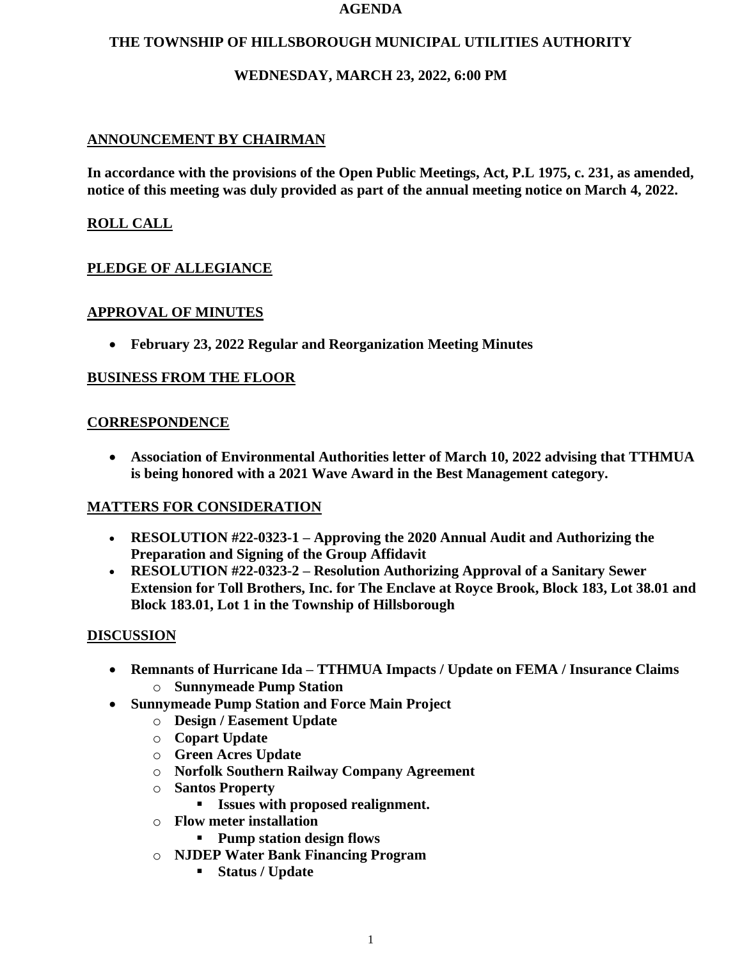#### **AGENDA**

## **THE TOWNSHIP OF HILLSBOROUGH MUNICIPAL UTILITIES AUTHORITY**

## **WEDNESDAY, MARCH 23, 2022, 6:00 PM**

## **ANNOUNCEMENT BY CHAIRMAN**

**In accordance with the provisions of the Open Public Meetings, Act, P.L 1975, c. 231, as amended, notice of this meeting was duly provided as part of the annual meeting notice on March 4, 2022.**

## **ROLL CALL**

## **PLEDGE OF ALLEGIANCE**

### **APPROVAL OF MINUTES**

• **February 23, 2022 Regular and Reorganization Meeting Minutes**

### **BUSINESS FROM THE FLOOR**

### **CORRESPONDENCE**

• **Association of Environmental Authorities letter of March 10, 2022 advising that TTHMUA is being honored with a 2021 Wave Award in the Best Management category.**

#### **MATTERS FOR CONSIDERATION**

- **RESOLUTION #22-0323-1 – Approving the 2020 Annual Audit and Authorizing the Preparation and Signing of the Group Affidavit**
- **RESOLUTION #22-0323-2 – Resolution Authorizing Approval of a Sanitary Sewer Extension for Toll Brothers, Inc. for The Enclave at Royce Brook, Block 183, Lot 38.01 and Block 183.01, Lot 1 in the Township of Hillsborough**

## **DISCUSSION**

- **Remnants of Hurricane Ida – TTHMUA Impacts / Update on FEMA / Insurance Claims** o **Sunnymeade Pump Station**
- **Sunnymeade Pump Station and Force Main Project**
	- o **Design / Easement Update**
	- o **Copart Update**
	- o **Green Acres Update**
	- o **Norfolk Southern Railway Company Agreement**
	- o **Santos Property**
		- **Issues with proposed realignment.**
	- o **Flow meter installation**
		- **Pump station design flows**
	- o **NJDEP Water Bank Financing Program**
		- **Status / Update**